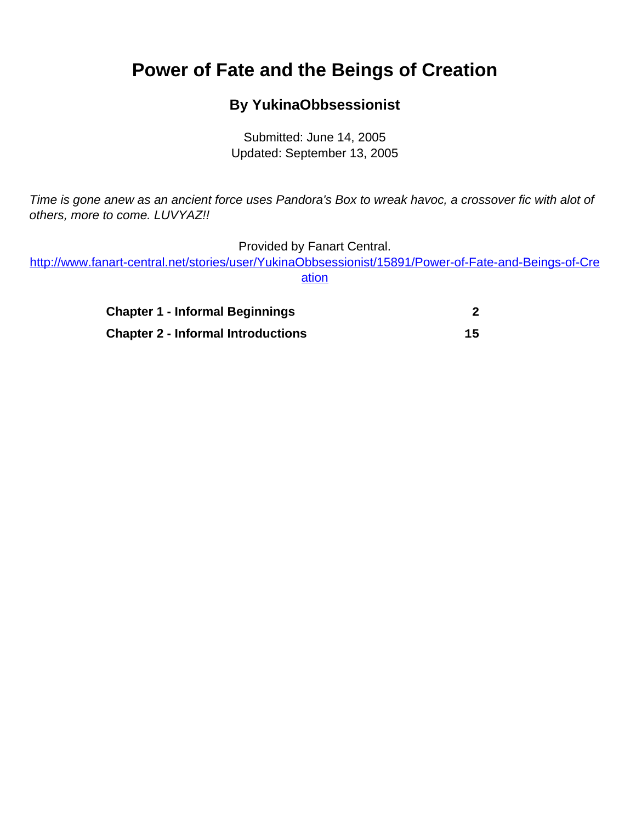# <span id="page-0-0"></span>**Power of Fate and the Beings of Creation**

# **By YukinaObbsessionist**

Submitted: June 14, 2005 Updated: September 13, 2005

Time is gone anew as an ancient force uses Pandora's Box to wreak havoc, a crossover fic with alot of others, more to come. LUVYAZ!!

Provided by Fanart Central.

[http://www.fanart-central.net/stories/user/YukinaObbsessionist/15891/Power-of-Fate-and-Beings-of-Cre](#page-0-0) [ation](#page-0-0)

| <b>Chapter 1 - Informal Beginnings</b>    |    |
|-------------------------------------------|----|
| <b>Chapter 2 - Informal Introductions</b> | 15 |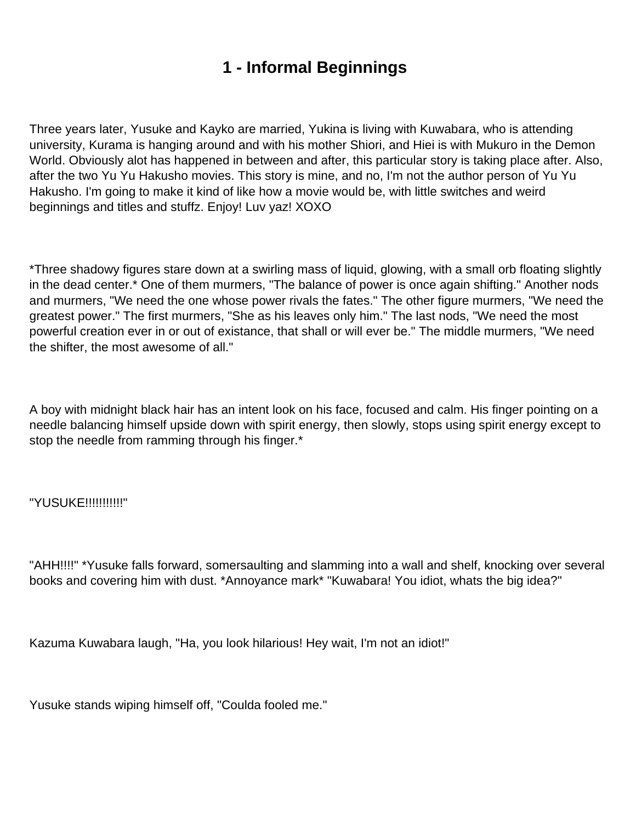# **1 - Informal Beginnings**

<span id="page-1-0"></span>Three years later, Yusuke and Kayko are married, Yukina is living with Kuwabara, who is attending university, Kurama is hanging around and with his mother Shiori, and Hiei is with Mukuro in the Demon World. Obviously alot has happened in between and after, this particular story is taking place after. Also, after the two Yu Yu Hakusho movies. This story is mine, and no, I'm not the author person of Yu Yu Hakusho. I'm going to make it kind of like how a movie would be, with little switches and weird beginnings and titles and stuffz. Enjoy! Luv yaz! XOXO

\*Three shadowy figures stare down at a swirling mass of liquid, glowing, with a small orb floating slightly in the dead center.\* One of them murmers, "The balance of power is once again shifting." Another nods and murmers, "We need the one whose power rivals the fates." The other figure murmers, "We need the greatest power." The first murmers, "She as his leaves only him." The last nods, "We need the most powerful creation ever in or out of existance, that shall or will ever be." The middle murmers, "We need the shifter, the most awesome of all."

A boy with midnight black hair has an intent look on his face, focused and calm. His finger pointing on a needle balancing himself upside down with spirit energy, then slowly, stops using spirit energy except to stop the needle from ramming through his finger.\*

"YUSUKE!!!!!!!!!!!"

"AHH!!!!" \*Yusuke falls forward, somersaulting and slamming into a wall and shelf, knocking over several books and covering him with dust. \*Annoyance mark\* "Kuwabara! You idiot, whats the big idea?"

Kazuma Kuwabara laugh, "Ha, you look hilarious! Hey wait, I'm not an idiot!"

Yusuke stands wiping himself off, "Coulda fooled me."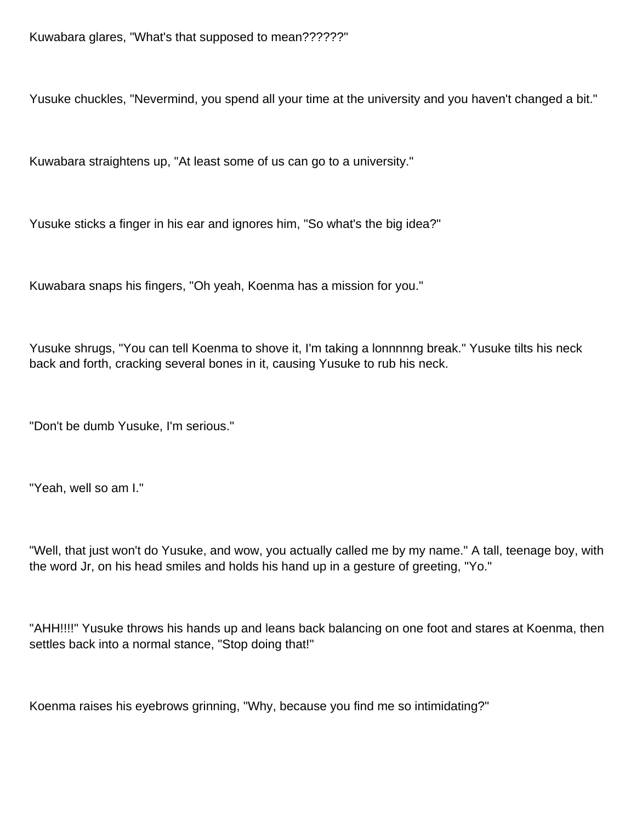Yusuke chuckles, "Nevermind, you spend all your time at the university and you haven't changed a bit."

Kuwabara straightens up, "At least some of us can go to a university."

Yusuke sticks a finger in his ear and ignores him, "So what's the big idea?"

Kuwabara snaps his fingers, "Oh yeah, Koenma has a mission for you."

Yusuke shrugs, "You can tell Koenma to shove it, I'm taking a lonnnnng break." Yusuke tilts his neck back and forth, cracking several bones in it, causing Yusuke to rub his neck.

"Don't be dumb Yusuke, I'm serious."

"Yeah, well so am I."

"Well, that just won't do Yusuke, and wow, you actually called me by my name." A tall, teenage boy, with the word Jr, on his head smiles and holds his hand up in a gesture of greeting, "Yo."

"AHH!!!!" Yusuke throws his hands up and leans back balancing on one foot and stares at Koenma, then settles back into a normal stance, "Stop doing that!"

Koenma raises his eyebrows grinning, "Why, because you find me so intimidating?"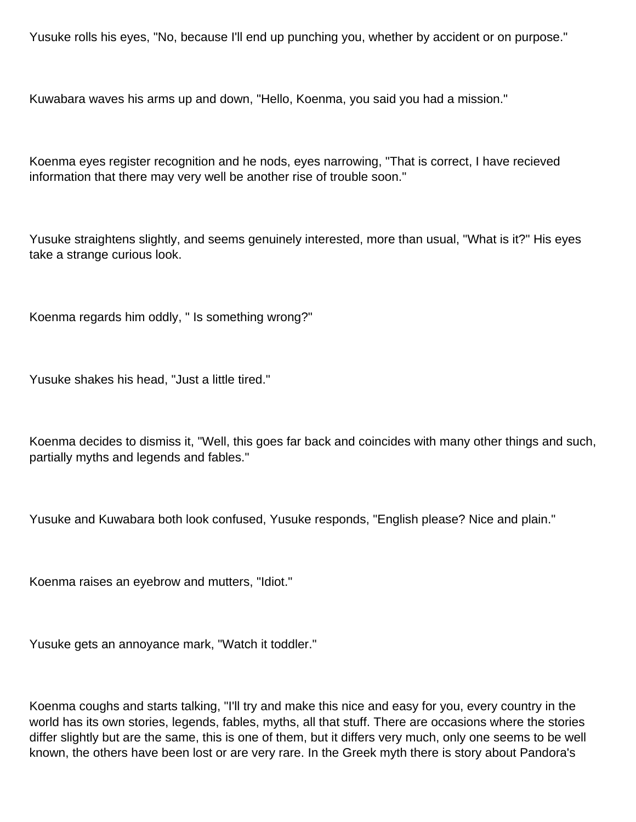Yusuke rolls his eyes, "No, because I'll end up punching you, whether by accident or on purpose."

Kuwabara waves his arms up and down, "Hello, Koenma, you said you had a mission."

Koenma eyes register recognition and he nods, eyes narrowing, "That is correct, I have recieved information that there may very well be another rise of trouble soon."

Yusuke straightens slightly, and seems genuinely interested, more than usual, "What is it?" His eyes take a strange curious look.

Koenma regards him oddly, " Is something wrong?"

Yusuke shakes his head, "Just a little tired."

Koenma decides to dismiss it, "Well, this goes far back and coincides with many other things and such, partially myths and legends and fables."

Yusuke and Kuwabara both look confused, Yusuke responds, "English please? Nice and plain."

Koenma raises an eyebrow and mutters, "Idiot."

Yusuke gets an annoyance mark, "Watch it toddler."

Koenma coughs and starts talking, "I'll try and make this nice and easy for you, every country in the world has its own stories, legends, fables, myths, all that stuff. There are occasions where the stories differ slightly but are the same, this is one of them, but it differs very much, only one seems to be well known, the others have been lost or are very rare. In the Greek myth there is story about Pandora's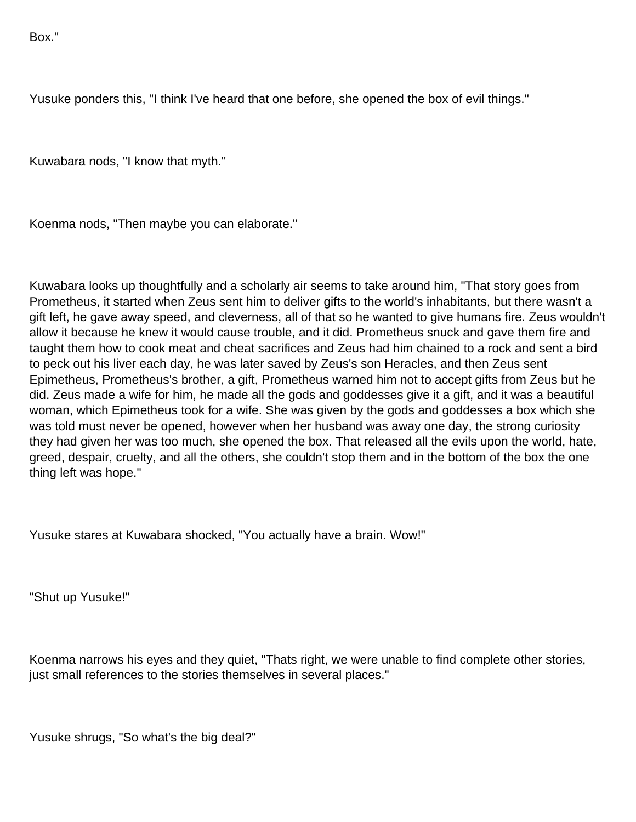Box."

Yusuke ponders this, "I think I've heard that one before, she opened the box of evil things."

Kuwabara nods, "I know that myth."

Koenma nods, "Then maybe you can elaborate."

Kuwabara looks up thoughtfully and a scholarly air seems to take around him, "That story goes from Prometheus, it started when Zeus sent him to deliver gifts to the world's inhabitants, but there wasn't a gift left, he gave away speed, and cleverness, all of that so he wanted to give humans fire. Zeus wouldn't allow it because he knew it would cause trouble, and it did. Prometheus snuck and gave them fire and taught them how to cook meat and cheat sacrifices and Zeus had him chained to a rock and sent a bird to peck out his liver each day, he was later saved by Zeus's son Heracles, and then Zeus sent Epimetheus, Prometheus's brother, a gift, Prometheus warned him not to accept gifts from Zeus but he did. Zeus made a wife for him, he made all the gods and goddesses give it a gift, and it was a beautiful woman, which Epimetheus took for a wife. She was given by the gods and goddesses a box which she was told must never be opened, however when her husband was away one day, the strong curiosity they had given her was too much, she opened the box. That released all the evils upon the world, hate, greed, despair, cruelty, and all the others, she couldn't stop them and in the bottom of the box the one thing left was hope."

Yusuke stares at Kuwabara shocked, "You actually have a brain. Wow!"

"Shut up Yusuke!"

Koenma narrows his eyes and they quiet, "Thats right, we were unable to find complete other stories, just small references to the stories themselves in several places."

Yusuke shrugs, "So what's the big deal?"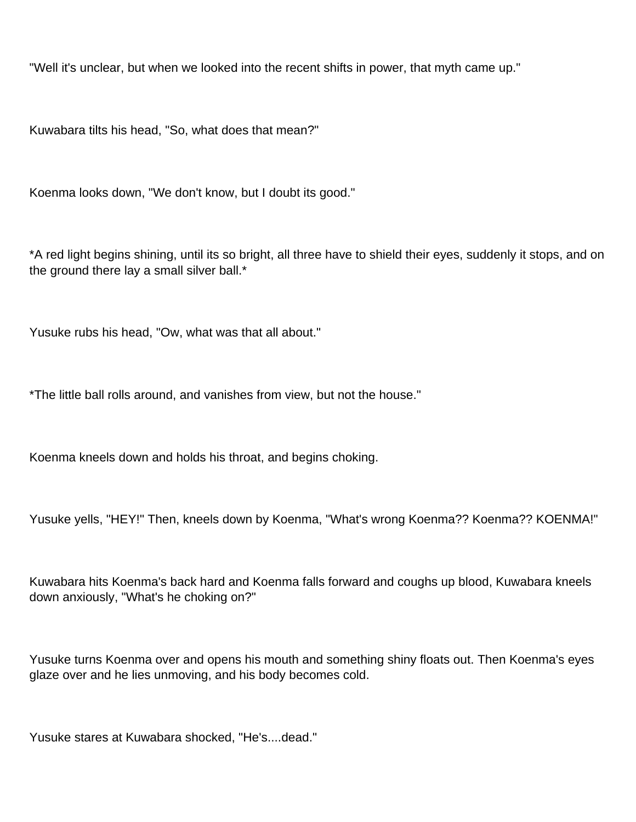"Well it's unclear, but when we looked into the recent shifts in power, that myth came up."

Kuwabara tilts his head, "So, what does that mean?"

Koenma looks down, "We don't know, but I doubt its good."

\*A red light begins shining, until its so bright, all three have to shield their eyes, suddenly it stops, and on the ground there lay a small silver ball.\*

Yusuke rubs his head, "Ow, what was that all about."

\*The little ball rolls around, and vanishes from view, but not the house."

Koenma kneels down and holds his throat, and begins choking.

Yusuke yells, "HEY!" Then, kneels down by Koenma, "What's wrong Koenma?? Koenma?? KOENMA!"

Kuwabara hits Koenma's back hard and Koenma falls forward and coughs up blood, Kuwabara kneels down anxiously, "What's he choking on?"

Yusuke turns Koenma over and opens his mouth and something shiny floats out. Then Koenma's eyes glaze over and he lies unmoving, and his body becomes cold.

Yusuke stares at Kuwabara shocked, "He's....dead."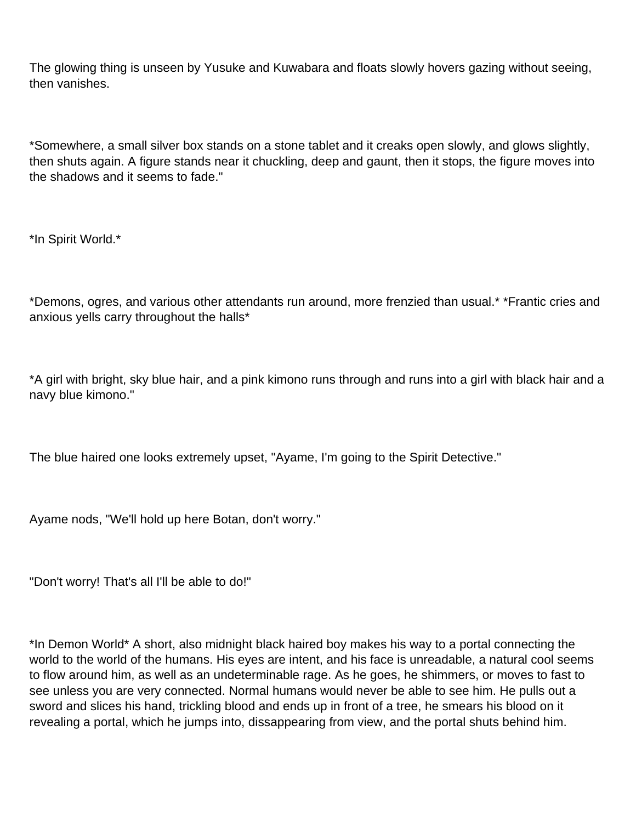The glowing thing is unseen by Yusuke and Kuwabara and floats slowly hovers gazing without seeing, then vanishes.

\*Somewhere, a small silver box stands on a stone tablet and it creaks open slowly, and glows slightly, then shuts again. A figure stands near it chuckling, deep and gaunt, then it stops, the figure moves into the shadows and it seems to fade."

\*In Spirit World.\*

\*Demons, ogres, and various other attendants run around, more frenzied than usual.\* \*Frantic cries and anxious yells carry throughout the halls\*

\*A girl with bright, sky blue hair, and a pink kimono runs through and runs into a girl with black hair and a navy blue kimono."

The blue haired one looks extremely upset, "Ayame, I'm going to the Spirit Detective."

Ayame nods, "We'll hold up here Botan, don't worry."

"Don't worry! That's all I'll be able to do!"

\*In Demon World\* A short, also midnight black haired boy makes his way to a portal connecting the world to the world of the humans. His eyes are intent, and his face is unreadable, a natural cool seems to flow around him, as well as an undeterminable rage. As he goes, he shimmers, or moves to fast to see unless you are very connected. Normal humans would never be able to see him. He pulls out a sword and slices his hand, trickling blood and ends up in front of a tree, he smears his blood on it revealing a portal, which he jumps into, dissappearing from view, and the portal shuts behind him.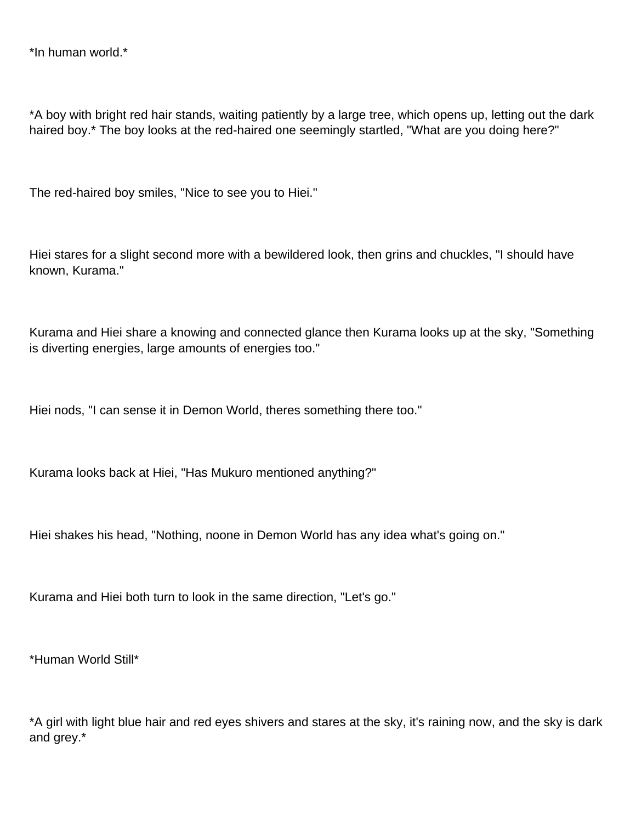\*In human world.\*

\*A boy with bright red hair stands, waiting patiently by a large tree, which opens up, letting out the dark haired boy.\* The boy looks at the red-haired one seemingly startled, "What are you doing here?"

The red-haired boy smiles, "Nice to see you to Hiei."

Hiei stares for a slight second more with a bewildered look, then grins and chuckles, "I should have known, Kurama."

Kurama and Hiei share a knowing and connected glance then Kurama looks up at the sky, "Something is diverting energies, large amounts of energies too."

Hiei nods, "I can sense it in Demon World, theres something there too."

Kurama looks back at Hiei, "Has Mukuro mentioned anything?"

Hiei shakes his head, "Nothing, noone in Demon World has any idea what's going on."

Kurama and Hiei both turn to look in the same direction, "Let's go."

\*Human World Still\*

\*A girl with light blue hair and red eyes shivers and stares at the sky, it's raining now, and the sky is dark and grey.\*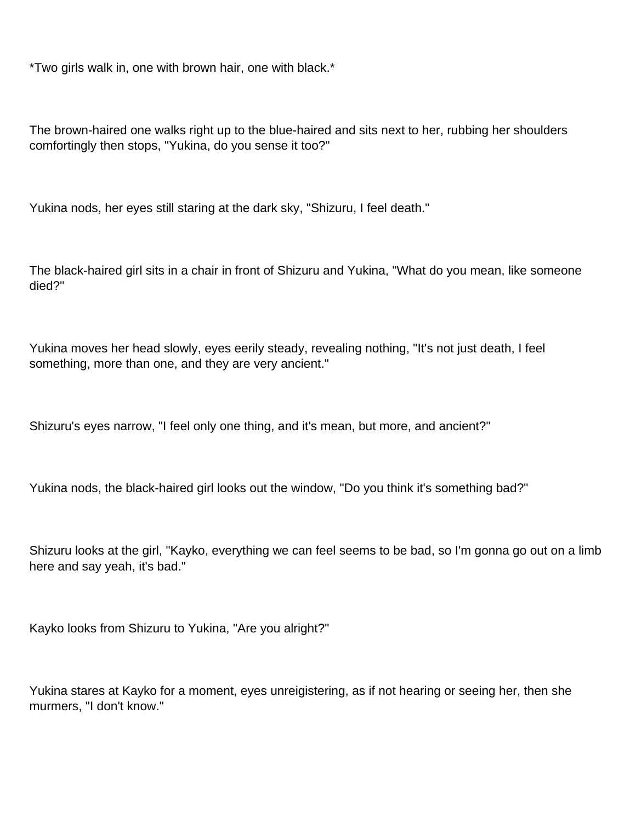\*Two girls walk in, one with brown hair, one with black.\*

The brown-haired one walks right up to the blue-haired and sits next to her, rubbing her shoulders comfortingly then stops, "Yukina, do you sense it too?"

Yukina nods, her eyes still staring at the dark sky, "Shizuru, I feel death."

The black-haired girl sits in a chair in front of Shizuru and Yukina, "What do you mean, like someone died?"

Yukina moves her head slowly, eyes eerily steady, revealing nothing, "It's not just death, I feel something, more than one, and they are very ancient."

Shizuru's eyes narrow, "I feel only one thing, and it's mean, but more, and ancient?"

Yukina nods, the black-haired girl looks out the window, "Do you think it's something bad?"

Shizuru looks at the girl, "Kayko, everything we can feel seems to be bad, so I'm gonna go out on a limb here and say yeah, it's bad."

Kayko looks from Shizuru to Yukina, "Are you alright?"

Yukina stares at Kayko for a moment, eyes unreigistering, as if not hearing or seeing her, then she murmers, "I don't know."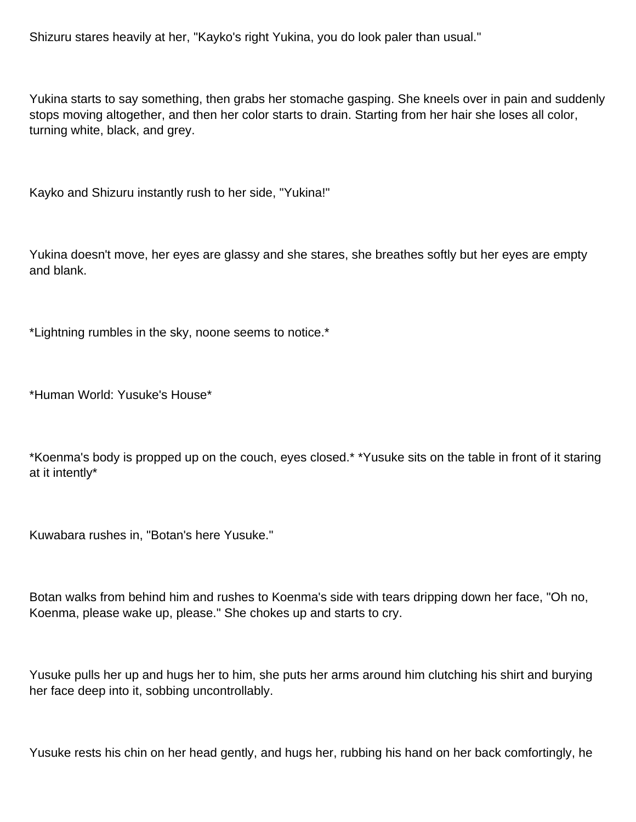Shizuru stares heavily at her, "Kayko's right Yukina, you do look paler than usual."

Yukina starts to say something, then grabs her stomache gasping. She kneels over in pain and suddenly stops moving altogether, and then her color starts to drain. Starting from her hair she loses all color, turning white, black, and grey.

Kayko and Shizuru instantly rush to her side, "Yukina!"

Yukina doesn't move, her eyes are glassy and she stares, she breathes softly but her eyes are empty and blank.

\*Lightning rumbles in the sky, noone seems to notice.\*

\*Human World: Yusuke's House\*

\*Koenma's body is propped up on the couch, eyes closed.\* \*Yusuke sits on the table in front of it staring at it intently\*

Kuwabara rushes in, "Botan's here Yusuke."

Botan walks from behind him and rushes to Koenma's side with tears dripping down her face, "Oh no, Koenma, please wake up, please." She chokes up and starts to cry.

Yusuke pulls her up and hugs her to him, she puts her arms around him clutching his shirt and burying her face deep into it, sobbing uncontrollably.

Yusuke rests his chin on her head gently, and hugs her, rubbing his hand on her back comfortingly, he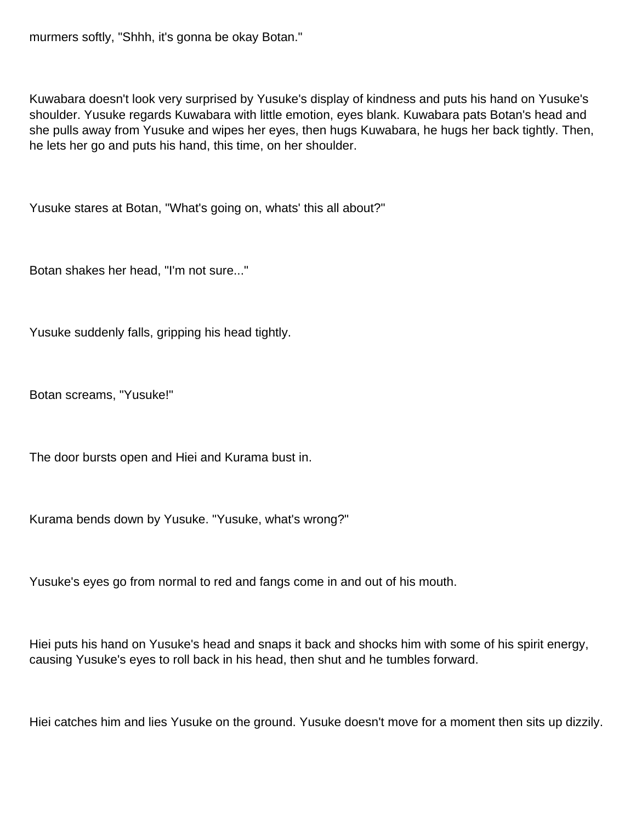murmers softly, "Shhh, it's gonna be okay Botan."

Kuwabara doesn't look very surprised by Yusuke's display of kindness and puts his hand on Yusuke's shoulder. Yusuke regards Kuwabara with little emotion, eyes blank. Kuwabara pats Botan's head and she pulls away from Yusuke and wipes her eyes, then hugs Kuwabara, he hugs her back tightly. Then, he lets her go and puts his hand, this time, on her shoulder.

Yusuke stares at Botan, "What's going on, whats' this all about?"

Botan shakes her head, "I'm not sure..."

Yusuke suddenly falls, gripping his head tightly.

Botan screams, "Yusuke!"

The door bursts open and Hiei and Kurama bust in.

Kurama bends down by Yusuke. "Yusuke, what's wrong?"

Yusuke's eyes go from normal to red and fangs come in and out of his mouth.

Hiei puts his hand on Yusuke's head and snaps it back and shocks him with some of his spirit energy, causing Yusuke's eyes to roll back in his head, then shut and he tumbles forward.

Hiei catches him and lies Yusuke on the ground. Yusuke doesn't move for a moment then sits up dizzily.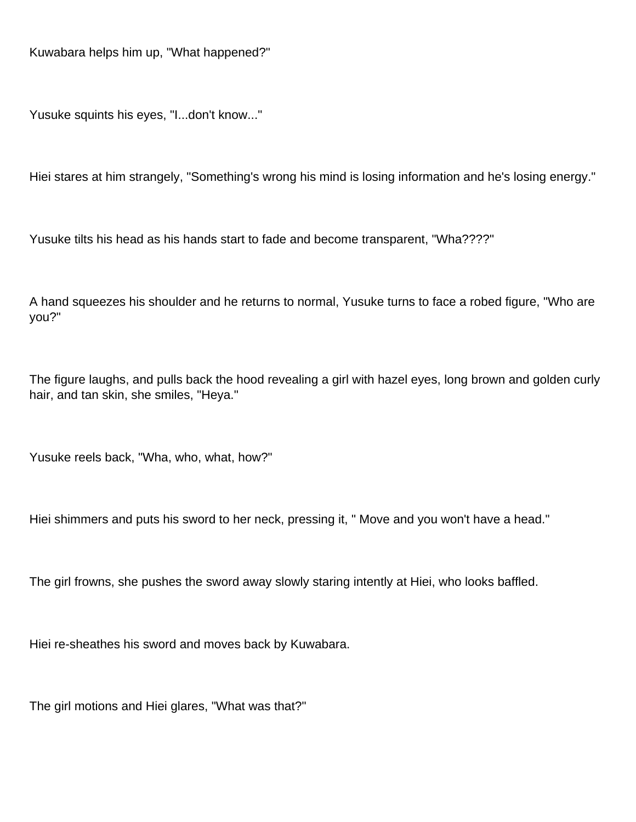Kuwabara helps him up, "What happened?"

Yusuke squints his eyes, "I...don't know..."

Hiei stares at him strangely, "Something's wrong his mind is losing information and he's losing energy."

Yusuke tilts his head as his hands start to fade and become transparent, "Wha????"

A hand squeezes his shoulder and he returns to normal, Yusuke turns to face a robed figure, "Who are you?"

The figure laughs, and pulls back the hood revealing a girl with hazel eyes, long brown and golden curly hair, and tan skin, she smiles, "Heya."

Yusuke reels back, "Wha, who, what, how?"

Hiei shimmers and puts his sword to her neck, pressing it, " Move and you won't have a head."

The girl frowns, she pushes the sword away slowly staring intently at Hiei, who looks baffled.

Hiei re-sheathes his sword and moves back by Kuwabara.

The girl motions and Hiei glares, "What was that?"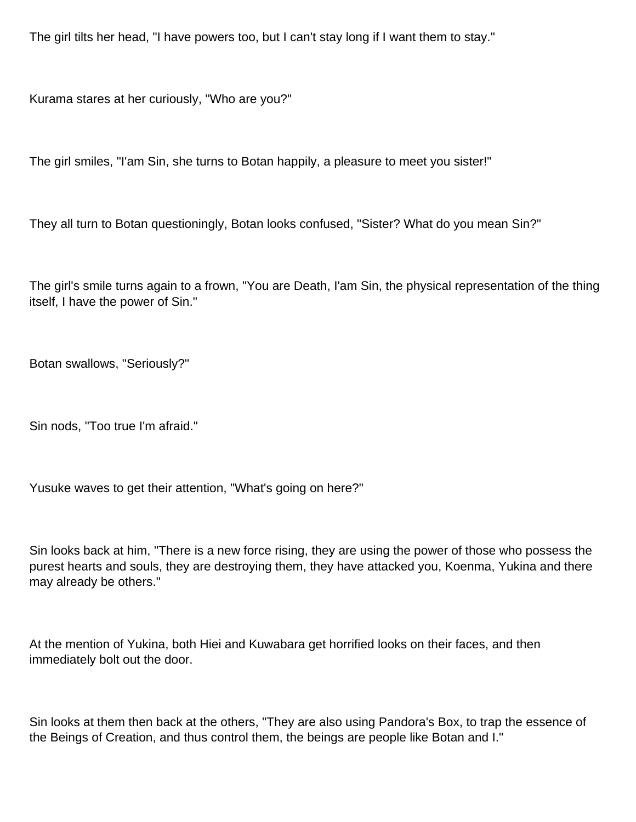The girl tilts her head, "I have powers too, but I can't stay long if I want them to stay."

Kurama stares at her curiously, "Who are you?"

The girl smiles, "I'am Sin, she turns to Botan happily, a pleasure to meet you sister!"

They all turn to Botan questioningly, Botan looks confused, "Sister? What do you mean Sin?"

The girl's smile turns again to a frown, "You are Death, I'am Sin, the physical representation of the thing itself, I have the power of Sin."

Botan swallows, "Seriously?"

Sin nods, "Too true I'm afraid."

Yusuke waves to get their attention, "What's going on here?"

Sin looks back at him, "There is a new force rising, they are using the power of those who possess the purest hearts and souls, they are destroying them, they have attacked you, Koenma, Yukina and there may already be others."

At the mention of Yukina, both Hiei and Kuwabara get horrified looks on their faces, and then immediately bolt out the door.

Sin looks at them then back at the others, "They are also using Pandora's Box, to trap the essence of the Beings of Creation, and thus control them, the beings are people like Botan and I."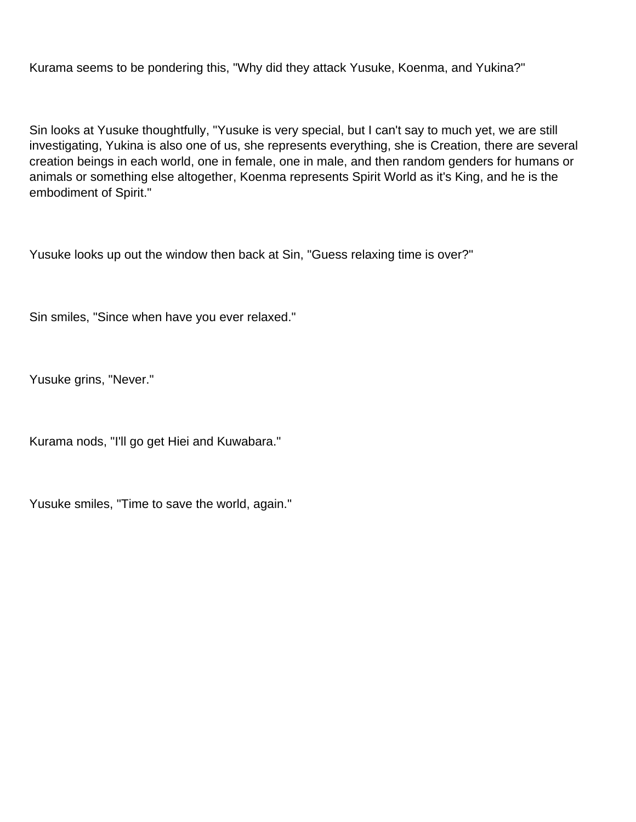Kurama seems to be pondering this, "Why did they attack Yusuke, Koenma, and Yukina?"

Sin looks at Yusuke thoughtfully, "Yusuke is very special, but I can't say to much yet, we are still investigating, Yukina is also one of us, she represents everything, she is Creation, there are several creation beings in each world, one in female, one in male, and then random genders for humans or animals or something else altogether, Koenma represents Spirit World as it's King, and he is the embodiment of Spirit."

Yusuke looks up out the window then back at Sin, "Guess relaxing time is over?"

Sin smiles, "Since when have you ever relaxed."

Yusuke grins, "Never."

Kurama nods, "I'll go get Hiei and Kuwabara."

Yusuke smiles, "Time to save the world, again."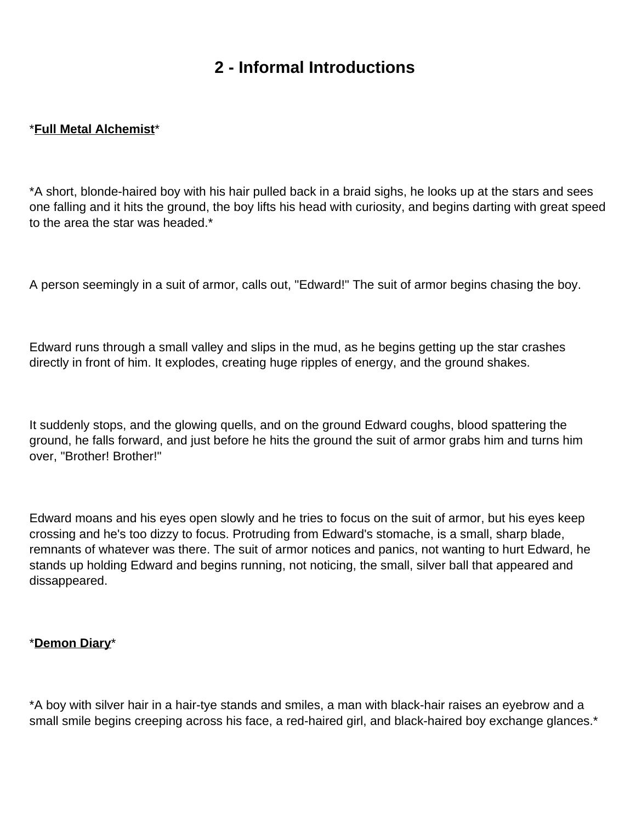# **2 - Informal Introductions**

### <span id="page-14-0"></span>\***Full Metal Alchemist**\*

\*A short, blonde-haired boy with his hair pulled back in a braid sighs, he looks up at the stars and sees one falling and it hits the ground, the boy lifts his head with curiosity, and begins darting with great speed to the area the star was headed.\*

A person seemingly in a suit of armor, calls out, "Edward!" The suit of armor begins chasing the boy.

Edward runs through a small valley and slips in the mud, as he begins getting up the star crashes directly in front of him. It explodes, creating huge ripples of energy, and the ground shakes.

It suddenly stops, and the glowing quells, and on the ground Edward coughs, blood spattering the ground, he falls forward, and just before he hits the ground the suit of armor grabs him and turns him over, "Brother! Brother!"

Edward moans and his eyes open slowly and he tries to focus on the suit of armor, but his eyes keep crossing and he's too dizzy to focus. Protruding from Edward's stomache, is a small, sharp blade, remnants of whatever was there. The suit of armor notices and panics, not wanting to hurt Edward, he stands up holding Edward and begins running, not noticing, the small, silver ball that appeared and dissappeared.

#### \***Demon Diary**\*

\*A boy with silver hair in a hair-tye stands and smiles, a man with black-hair raises an eyebrow and a small smile begins creeping across his face, a red-haired girl, and black-haired boy exchange glances.\*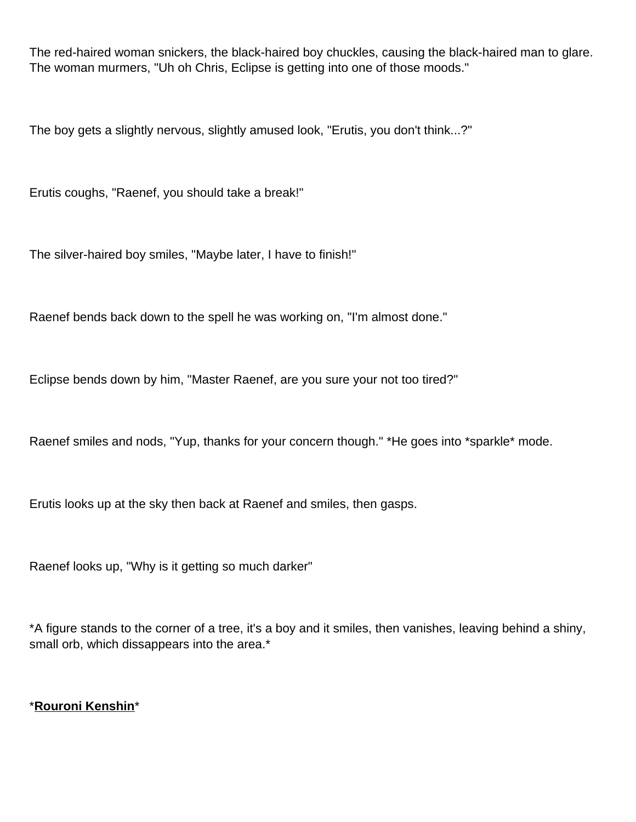The red-haired woman snickers, the black-haired boy chuckles, causing the black-haired man to glare. The woman murmers, "Uh oh Chris, Eclipse is getting into one of those moods."

The boy gets a slightly nervous, slightly amused look, "Erutis, you don't think...?"

Erutis coughs, "Raenef, you should take a break!"

The silver-haired boy smiles, "Maybe later, I have to finish!"

Raenef bends back down to the spell he was working on, "I'm almost done."

Eclipse bends down by him, "Master Raenef, are you sure your not too tired?"

Raenef smiles and nods, "Yup, thanks for your concern though." \*He goes into \*sparkle\* mode.

Erutis looks up at the sky then back at Raenef and smiles, then gasps.

Raenef looks up, "Why is it getting so much darker"

\*A figure stands to the corner of a tree, it's a boy and it smiles, then vanishes, leaving behind a shiny, small orb, which dissappears into the area.\*

\***Rouroni Kenshin**\*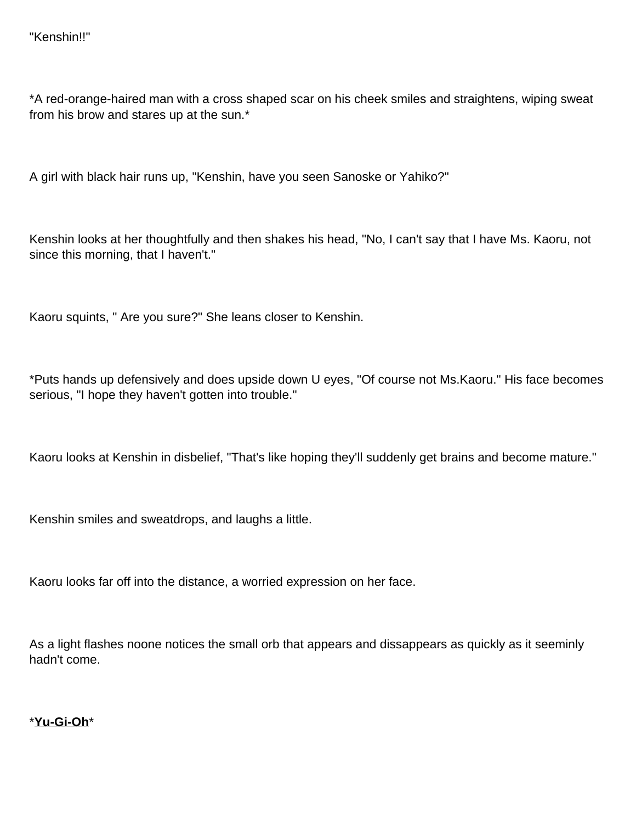\*A red-orange-haired man with a cross shaped scar on his cheek smiles and straightens, wiping sweat from his brow and stares up at the sun.\*

A girl with black hair runs up, "Kenshin, have you seen Sanoske or Yahiko?"

Kenshin looks at her thoughtfully and then shakes his head, "No, I can't say that I have Ms. Kaoru, not since this morning, that I haven't."

Kaoru squints, " Are you sure?" She leans closer to Kenshin.

\*Puts hands up defensively and does upside down U eyes, "Of course not Ms.Kaoru." His face becomes serious, "I hope they haven't gotten into trouble."

Kaoru looks at Kenshin in disbelief, "That's like hoping they'll suddenly get brains and become mature."

Kenshin smiles and sweatdrops, and laughs a little.

Kaoru looks far off into the distance, a worried expression on her face.

As a light flashes noone notices the small orb that appears and dissappears as quickly as it seeminly hadn't come.

\***Yu-Gi-Oh**\*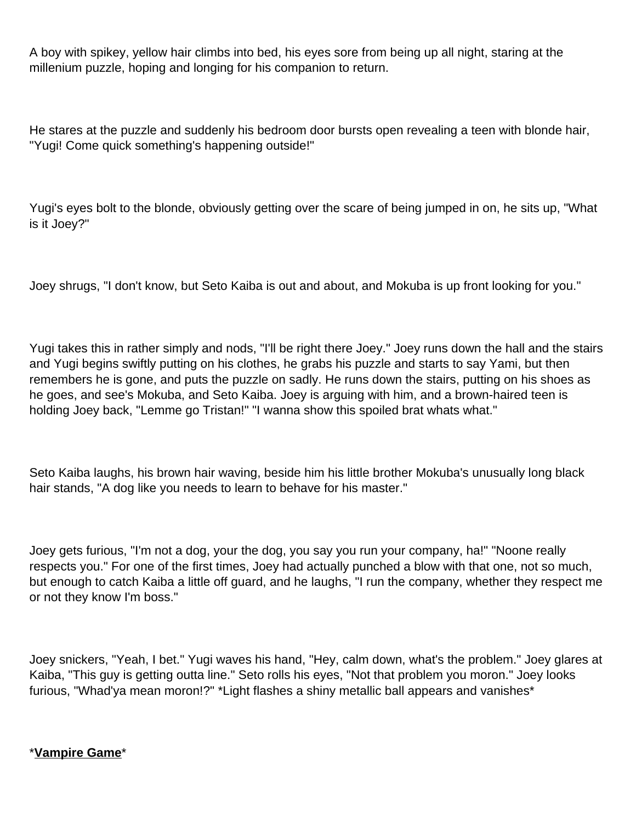A boy with spikey, yellow hair climbs into bed, his eyes sore from being up all night, staring at the millenium puzzle, hoping and longing for his companion to return.

He stares at the puzzle and suddenly his bedroom door bursts open revealing a teen with blonde hair, "Yugi! Come quick something's happening outside!"

Yugi's eyes bolt to the blonde, obviously getting over the scare of being jumped in on, he sits up, "What is it Joey?"

Joey shrugs, "I don't know, but Seto Kaiba is out and about, and Mokuba is up front looking for you."

Yugi takes this in rather simply and nods, "I'll be right there Joey." Joey runs down the hall and the stairs and Yugi begins swiftly putting on his clothes, he grabs his puzzle and starts to say Yami, but then remembers he is gone, and puts the puzzle on sadly. He runs down the stairs, putting on his shoes as he goes, and see's Mokuba, and Seto Kaiba. Joey is arguing with him, and a brown-haired teen is holding Joey back, "Lemme go Tristan!" "I wanna show this spoiled brat whats what."

Seto Kaiba laughs, his brown hair waving, beside him his little brother Mokuba's unusually long black hair stands, "A dog like you needs to learn to behave for his master."

Joey gets furious, "I'm not a dog, your the dog, you say you run your company, ha!" "Noone really respects you." For one of the first times, Joey had actually punched a blow with that one, not so much, but enough to catch Kaiba a little off guard, and he laughs, "I run the company, whether they respect me or not they know I'm boss."

Joey snickers, "Yeah, I bet." Yugi waves his hand, "Hey, calm down, what's the problem." Joey glares at Kaiba, "This guy is getting outta line." Seto rolls his eyes, "Not that problem you moron." Joey looks furious, "Whad'ya mean moron!?" \*Light flashes a shiny metallic ball appears and vanishes\*

## \***Vampire Game**\*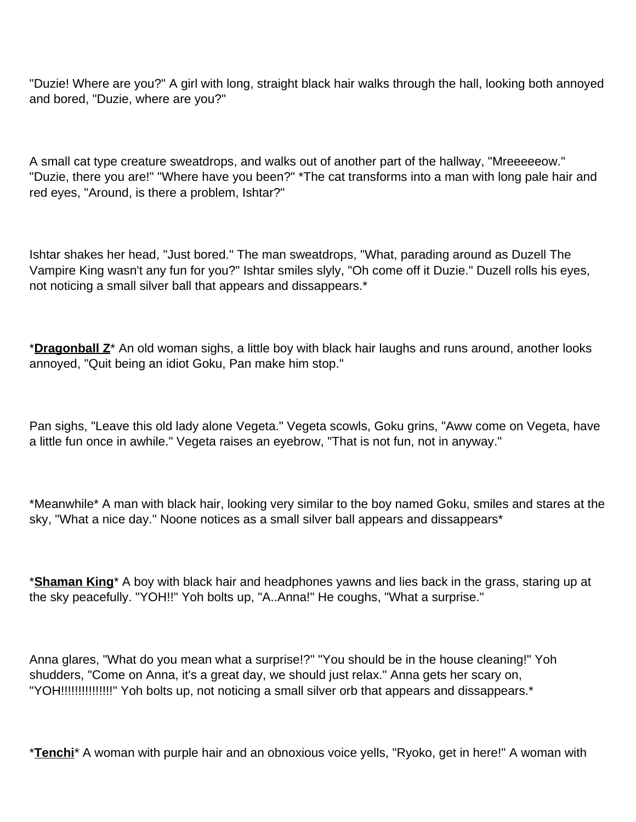"Duzie! Where are you?" A girl with long, straight black hair walks through the hall, looking both annoyed and bored, "Duzie, where are you?"

A small cat type creature sweatdrops, and walks out of another part of the hallway, "Mreeeeeow." "Duzie, there you are!" "Where have you been?" \*The cat transforms into a man with long pale hair and red eyes, "Around, is there a problem, Ishtar?"

Ishtar shakes her head, "Just bored." The man sweatdrops, "What, parading around as Duzell The Vampire King wasn't any fun for you?" Ishtar smiles slyly, "Oh come off it Duzie." Duzell rolls his eyes, not noticing a small silver ball that appears and dissappears.\*

\***Dragonball Z**\* An old woman sighs, a little boy with black hair laughs and runs around, another looks annoyed, "Quit being an idiot Goku, Pan make him stop."

Pan sighs, "Leave this old lady alone Vegeta." Vegeta scowls, Goku grins, "Aww come on Vegeta, have a little fun once in awhile." Vegeta raises an eyebrow, "That is not fun, not in anyway."

\*Meanwhile\* A man with black hair, looking very similar to the boy named Goku, smiles and stares at the sky, "What a nice day." Noone notices as a small silver ball appears and dissappears\*

\***Shaman King**\* A boy with black hair and headphones yawns and lies back in the grass, staring up at the sky peacefully. "YOH!!" Yoh bolts up, "A..Anna!" He coughs, "What a surprise."

Anna glares, "What do you mean what a surprise!?" "You should be in the house cleaning!" Yoh shudders, "Come on Anna, it's a great day, we should just relax." Anna gets her scary on, "YOH!!!!!!!!!!!!!!!" Yoh bolts up, not noticing a small silver orb that appears and dissappears.\*

\***Tenchi**\* A woman with purple hair and an obnoxious voice yells, "Ryoko, get in here!" A woman with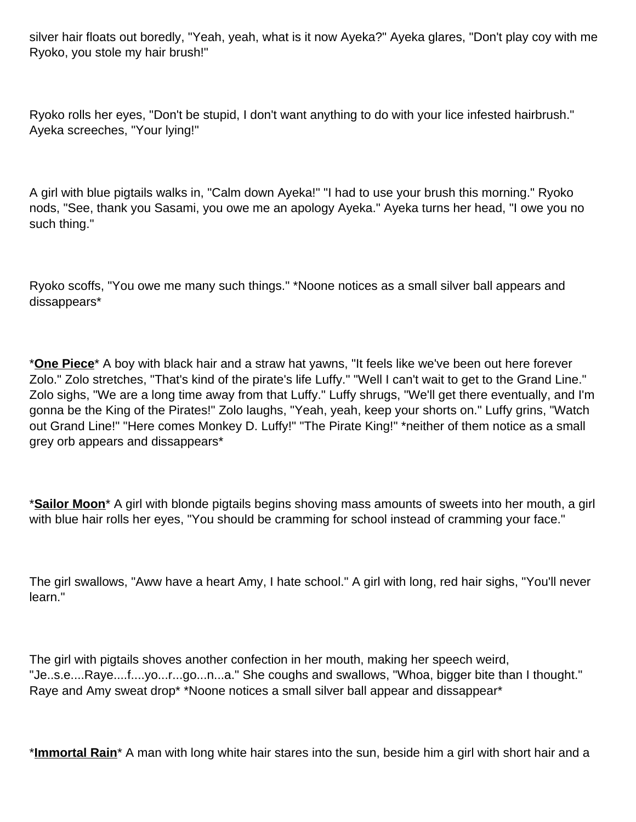silver hair floats out boredly, "Yeah, yeah, what is it now Ayeka?" Ayeka glares, "Don't play coy with me Ryoko, you stole my hair brush!"

Ryoko rolls her eyes, "Don't be stupid, I don't want anything to do with your lice infested hairbrush." Ayeka screeches, "Your lying!"

A girl with blue pigtails walks in, "Calm down Ayeka!" "I had to use your brush this morning." Ryoko nods, "See, thank you Sasami, you owe me an apology Ayeka." Ayeka turns her head, "I owe you no such thing."

Ryoko scoffs, "You owe me many such things." \*Noone notices as a small silver ball appears and dissappears\*

\***One Piece**\* A boy with black hair and a straw hat yawns, "It feels like we've been out here forever Zolo." Zolo stretches, "That's kind of the pirate's life Luffy." "Well I can't wait to get to the Grand Line." Zolo sighs, "We are a long time away from that Luffy." Luffy shrugs, "We'll get there eventually, and I'm gonna be the King of the Pirates!" Zolo laughs, "Yeah, yeah, keep your shorts on." Luffy grins, "Watch out Grand Line!" "Here comes Monkey D. Luffy!" "The Pirate King!" \*neither of them notice as a small grey orb appears and dissappears\*

\***Sailor Moon**\* A girl with blonde pigtails begins shoving mass amounts of sweets into her mouth, a girl with blue hair rolls her eyes, "You should be cramming for school instead of cramming your face."

The girl swallows, "Aww have a heart Amy, I hate school." A girl with long, red hair sighs, "You'll never learn."

The girl with pigtails shoves another confection in her mouth, making her speech weird, "Je..s.e....Raye....f....yo...r...go...n...a." She coughs and swallows, "Whoa, bigger bite than I thought." Raye and Amy sweat drop\* \*Noone notices a small silver ball appear and dissappear\*

\***Immortal Rain**\* A man with long white hair stares into the sun, beside him a girl with short hair and a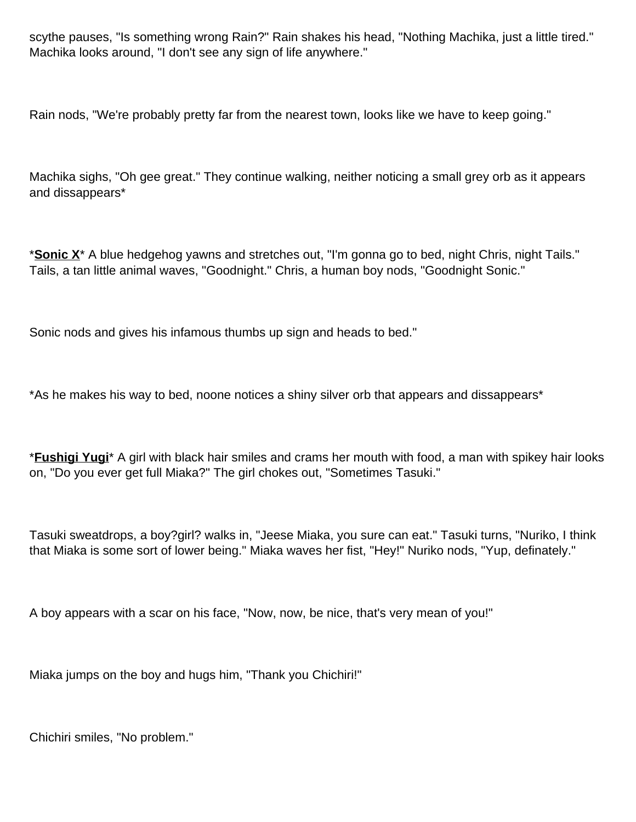scythe pauses, "Is something wrong Rain?" Rain shakes his head, "Nothing Machika, just a little tired." Machika looks around, "I don't see any sign of life anywhere."

Rain nods, "We're probably pretty far from the nearest town, looks like we have to keep going."

Machika sighs, "Oh gee great." They continue walking, neither noticing a small grey orb as it appears and dissappears\*

\***Sonic X**\* A blue hedgehog yawns and stretches out, "I'm gonna go to bed, night Chris, night Tails." Tails, a tan little animal waves, "Goodnight." Chris, a human boy nods, "Goodnight Sonic."

Sonic nods and gives his infamous thumbs up sign and heads to bed."

\*As he makes his way to bed, noone notices a shiny silver orb that appears and dissappears\*

\***Fushigi Yugi**\* A girl with black hair smiles and crams her mouth with food, a man with spikey hair looks on, "Do you ever get full Miaka?" The girl chokes out, "Sometimes Tasuki."

Tasuki sweatdrops, a boy?girl? walks in, "Jeese Miaka, you sure can eat." Tasuki turns, "Nuriko, I think that Miaka is some sort of lower being." Miaka waves her fist, "Hey!" Nuriko nods, "Yup, definately."

A boy appears with a scar on his face, "Now, now, be nice, that's very mean of you!"

Miaka jumps on the boy and hugs him, "Thank you Chichiri!"

Chichiri smiles, "No problem."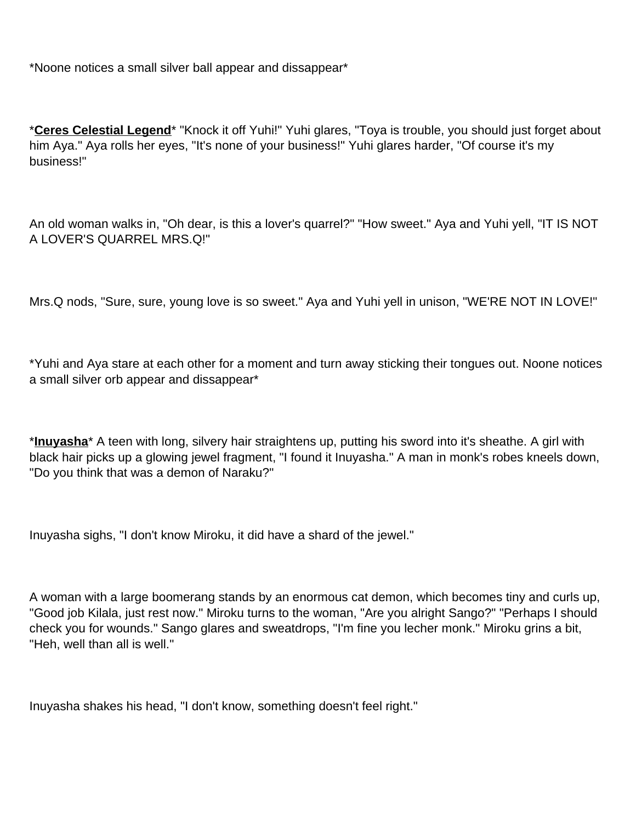\*Noone notices a small silver ball appear and dissappear\*

\***Ceres Celestial Legend**\* "Knock it off Yuhi!" Yuhi glares, "Toya is trouble, you should just forget about him Aya." Aya rolls her eyes, "It's none of your business!" Yuhi glares harder, "Of course it's my business!"

An old woman walks in, "Oh dear, is this a lover's quarrel?" "How sweet." Aya and Yuhi yell, "IT IS NOT A LOVER'S QUARREL MRS.Q!"

Mrs.Q nods, "Sure, sure, young love is so sweet." Aya and Yuhi yell in unison, "WE'RE NOT IN LOVE!"

\*Yuhi and Aya stare at each other for a moment and turn away sticking their tongues out. Noone notices a small silver orb appear and dissappear\*

\***Inuyasha**\* A teen with long, silvery hair straightens up, putting his sword into it's sheathe. A girl with black hair picks up a glowing jewel fragment, "I found it Inuyasha." A man in monk's robes kneels down, "Do you think that was a demon of Naraku?"

Inuyasha sighs, "I don't know Miroku, it did have a shard of the jewel."

A woman with a large boomerang stands by an enormous cat demon, which becomes tiny and curls up, "Good job Kilala, just rest now." Miroku turns to the woman, "Are you alright Sango?" "Perhaps I should check you for wounds." Sango glares and sweatdrops, "I'm fine you lecher monk." Miroku grins a bit, "Heh, well than all is well."

Inuyasha shakes his head, "I don't know, something doesn't feel right."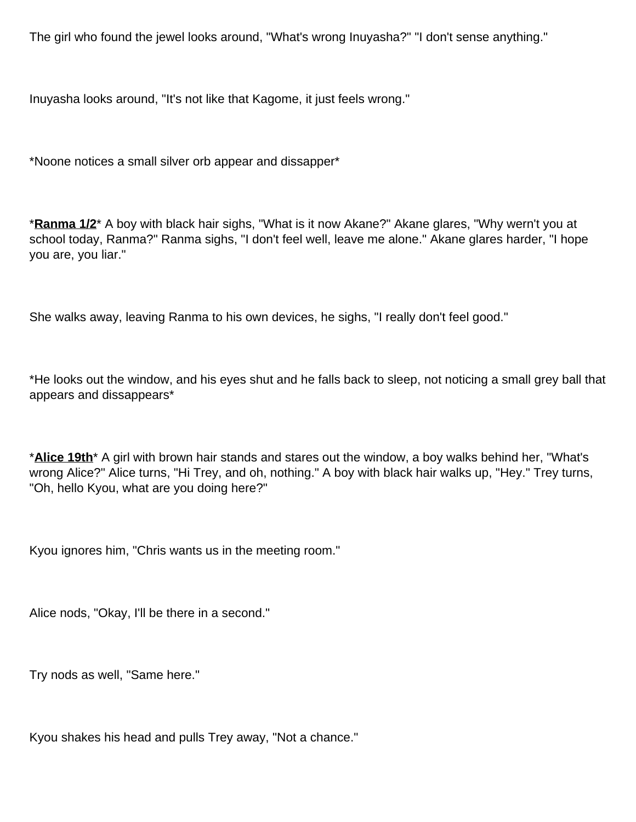The girl who found the jewel looks around, "What's wrong Inuyasha?" "I don't sense anything."

Inuyasha looks around, "It's not like that Kagome, it just feels wrong."

\*Noone notices a small silver orb appear and dissapper\*

\***Ranma 1/2**\* A boy with black hair sighs, "What is it now Akane?" Akane glares, "Why wern't you at school today, Ranma?" Ranma sighs, "I don't feel well, leave me alone." Akane glares harder, "I hope you are, you liar."

She walks away, leaving Ranma to his own devices, he sighs, "I really don't feel good."

\*He looks out the window, and his eyes shut and he falls back to sleep, not noticing a small grey ball that appears and dissappears\*

\***Alice 19th**\* A girl with brown hair stands and stares out the window, a boy walks behind her, "What's wrong Alice?" Alice turns, "Hi Trey, and oh, nothing." A boy with black hair walks up, "Hey." Trey turns, "Oh, hello Kyou, what are you doing here?"

Kyou ignores him, "Chris wants us in the meeting room."

Alice nods, "Okay, I'll be there in a second."

Try nods as well, "Same here."

Kyou shakes his head and pulls Trey away, "Not a chance."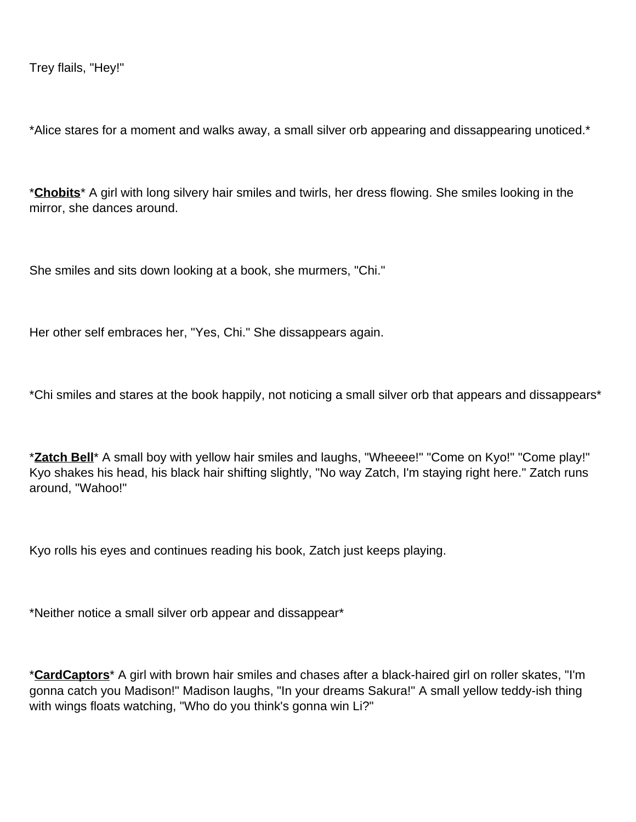Trey flails, "Hey!"

\*Alice stares for a moment and walks away, a small silver orb appearing and dissappearing unoticed.\*

\***Chobits**\* A girl with long silvery hair smiles and twirls, her dress flowing. She smiles looking in the mirror, she dances around.

She smiles and sits down looking at a book, she murmers, "Chi."

Her other self embraces her, "Yes, Chi." She dissappears again.

\*Chi smiles and stares at the book happily, not noticing a small silver orb that appears and dissappears\*

\***Zatch Bell**\* A small boy with yellow hair smiles and laughs, "Wheeee!" "Come on Kyo!" "Come play!" Kyo shakes his head, his black hair shifting slightly, "No way Zatch, I'm staying right here." Zatch runs around, "Wahoo!"

Kyo rolls his eyes and continues reading his book, Zatch just keeps playing.

\*Neither notice a small silver orb appear and dissappear\*

\***CardCaptors**\* A girl with brown hair smiles and chases after a black-haired girl on roller skates, "I'm gonna catch you Madison!" Madison laughs, "In your dreams Sakura!" A small yellow teddy-ish thing with wings floats watching, "Who do you think's gonna win Li?"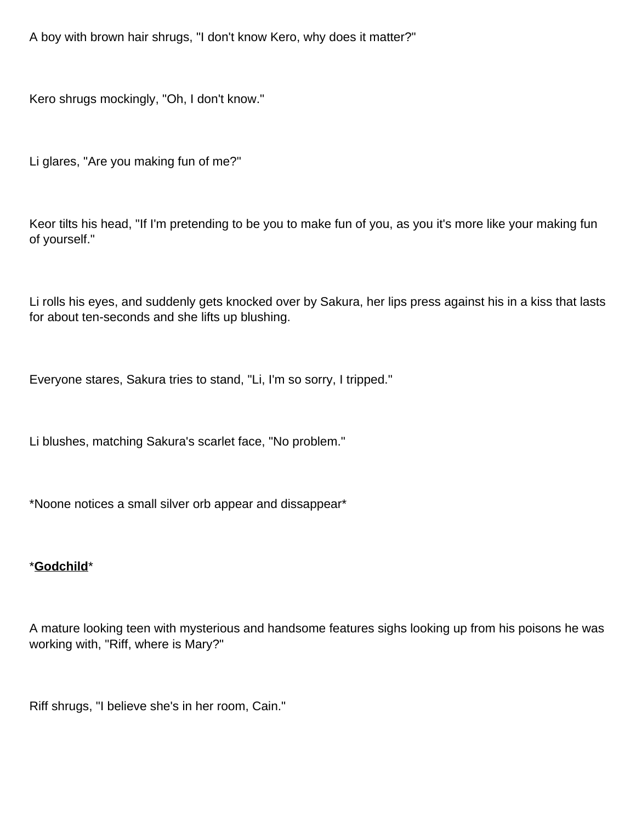A boy with brown hair shrugs, "I don't know Kero, why does it matter?"

Kero shrugs mockingly, "Oh, I don't know."

Li glares, "Are you making fun of me?"

Keor tilts his head, "If I'm pretending to be you to make fun of you, as you it's more like your making fun of yourself."

Li rolls his eyes, and suddenly gets knocked over by Sakura, her lips press against his in a kiss that lasts for about ten-seconds and she lifts up blushing.

Everyone stares, Sakura tries to stand, "Li, I'm so sorry, I tripped."

Li blushes, matching Sakura's scarlet face, "No problem."

\*Noone notices a small silver orb appear and dissappear\*

#### \***Godchild**\*

A mature looking teen with mysterious and handsome features sighs looking up from his poisons he was working with, "Riff, where is Mary?"

Riff shrugs, "I believe she's in her room, Cain."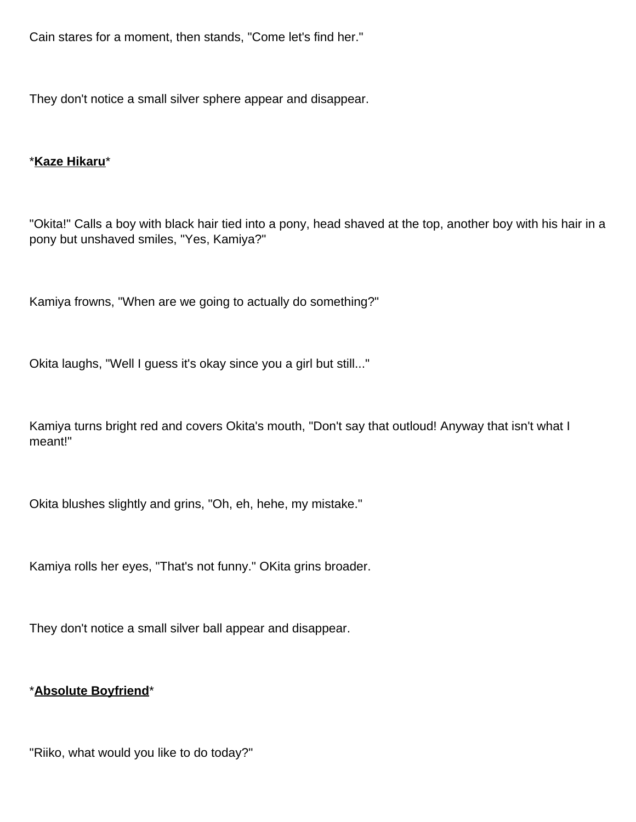Cain stares for a moment, then stands, "Come let's find her."

They don't notice a small silver sphere appear and disappear.

### \***Kaze Hikaru**\*

"Okita!" Calls a boy with black hair tied into a pony, head shaved at the top, another boy with his hair in a pony but unshaved smiles, "Yes, Kamiya?"

Kamiya frowns, "When are we going to actually do something?"

Okita laughs, "Well I guess it's okay since you a girl but still..."

Kamiya turns bright red and covers Okita's mouth, "Don't say that outloud! Anyway that isn't what I meant!"

Okita blushes slightly and grins, "Oh, eh, hehe, my mistake."

Kamiya rolls her eyes, "That's not funny." OKita grins broader.

They don't notice a small silver ball appear and disappear.

## \***Absolute Boyfriend**\*

"Riiko, what would you like to do today?"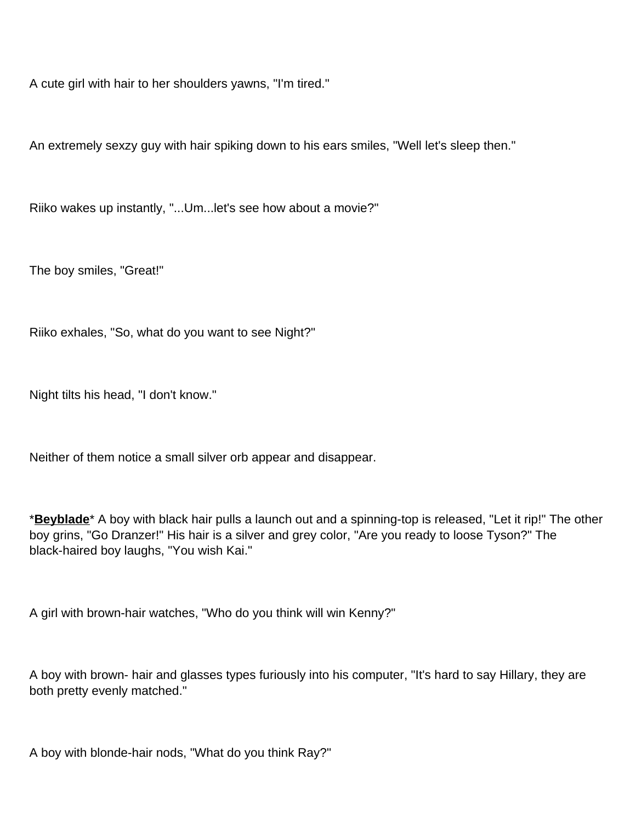A cute girl with hair to her shoulders yawns, "I'm tired."

An extremely sexzy guy with hair spiking down to his ears smiles, "Well let's sleep then."

Riiko wakes up instantly, "...Um...let's see how about a movie?"

The boy smiles, "Great!"

Riiko exhales, "So, what do you want to see Night?"

Night tilts his head, "I don't know."

Neither of them notice a small silver orb appear and disappear.

\***Beyblade**\* A boy with black hair pulls a launch out and a spinning-top is released, "Let it rip!" The other boy grins, "Go Dranzer!" His hair is a silver and grey color, "Are you ready to loose Tyson?" The black-haired boy laughs, "You wish Kai."

A girl with brown-hair watches, "Who do you think will win Kenny?"

A boy with brown- hair and glasses types furiously into his computer, "It's hard to say Hillary, they are both pretty evenly matched."

A boy with blonde-hair nods, "What do you think Ray?"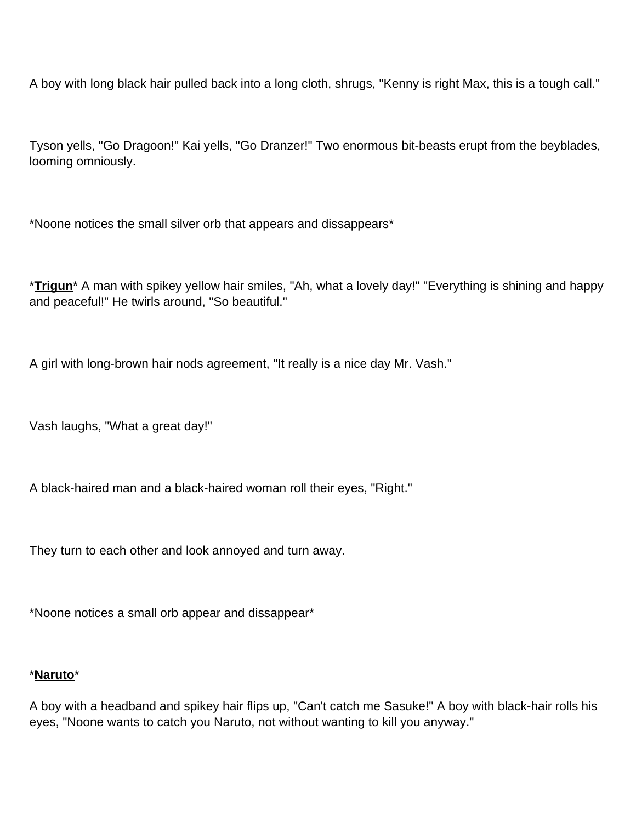A boy with long black hair pulled back into a long cloth, shrugs, "Kenny is right Max, this is a tough call."

Tyson yells, "Go Dragoon!" Kai yells, "Go Dranzer!" Two enormous bit-beasts erupt from the beyblades, looming omniously.

\*Noone notices the small silver orb that appears and dissappears\*

\***Trigun**\* A man with spikey yellow hair smiles, "Ah, what a lovely day!" "Everything is shining and happy and peaceful!" He twirls around, "So beautiful."

A girl with long-brown hair nods agreement, "It really is a nice day Mr. Vash."

Vash laughs, "What a great day!"

A black-haired man and a black-haired woman roll their eyes, "Right."

They turn to each other and look annoyed and turn away.

\*Noone notices a small orb appear and dissappear\*

#### \***Naruto**\*

A boy with a headband and spikey hair flips up, "Can't catch me Sasuke!" A boy with black-hair rolls his eyes, "Noone wants to catch you Naruto, not without wanting to kill you anyway."